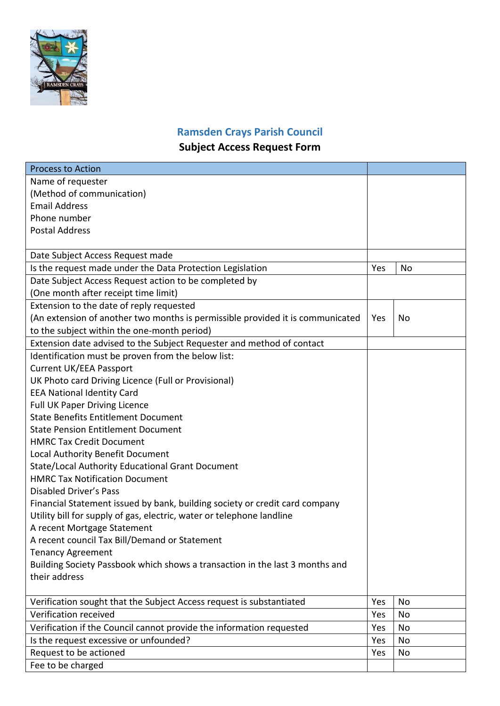

## **Ramsden Crays Parish Council Subject Access Request Form**

| <b>Process to Action</b>                                                       |     |    |
|--------------------------------------------------------------------------------|-----|----|
| Name of requester                                                              |     |    |
| (Method of communication)                                                      |     |    |
| <b>Email Address</b>                                                           |     |    |
| Phone number                                                                   |     |    |
| <b>Postal Address</b>                                                          |     |    |
|                                                                                |     |    |
| Date Subject Access Request made                                               |     |    |
| Is the request made under the Data Protection Legislation                      | Yes | No |
| Date Subject Access Request action to be completed by                          |     |    |
| (One month after receipt time limit)                                           |     |    |
| Extension to the date of reply requested                                       |     |    |
| (An extension of another two months is permissible provided it is communicated | Yes | No |
| to the subject within the one-month period)                                    |     |    |
| Extension date advised to the Subject Requester and method of contact          |     |    |
| Identification must be proven from the below list:                             |     |    |
| <b>Current UK/EEA Passport</b>                                                 |     |    |
| UK Photo card Driving Licence (Full or Provisional)                            |     |    |
| <b>EEA National Identity Card</b>                                              |     |    |
| <b>Full UK Paper Driving Licence</b>                                           |     |    |
| <b>State Benefits Entitlement Document</b>                                     |     |    |
| <b>State Pension Entitlement Document</b>                                      |     |    |
| <b>HMRC Tax Credit Document</b>                                                |     |    |
| Local Authority Benefit Document                                               |     |    |
| State/Local Authority Educational Grant Document                               |     |    |
| <b>HMRC Tax Notification Document</b>                                          |     |    |
| <b>Disabled Driver's Pass</b>                                                  |     |    |
| Financial Statement issued by bank, building society or credit card company    |     |    |
| Utility bill for supply of gas, electric, water or telephone landline          |     |    |
| A recent Mortgage Statement                                                    |     |    |
| A recent council Tax Bill/Demand or Statement                                  |     |    |
| <b>Tenancy Agreement</b>                                                       |     |    |
| Building Society Passbook which shows a transaction in the last 3 months and   |     |    |
| their address                                                                  |     |    |
|                                                                                |     |    |
| Verification sought that the Subject Access request is substantiated           | Yes | No |
| Verification received                                                          | Yes | No |
| Verification if the Council cannot provide the information requested           | Yes | No |
| Is the request excessive or unfounded?                                         | Yes | No |
| Request to be actioned                                                         | Yes | No |
| Fee to be charged                                                              |     |    |